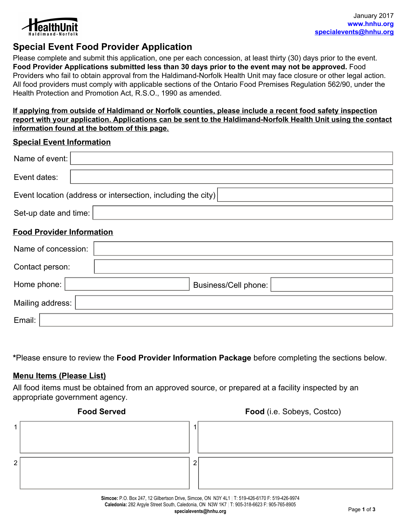

# **Special Event Food Provider Application**

Please complete and submit this application, one per each concession, at least thirty (30) days prior to the event. **Food Provider Applications submitted less than 30 days prior to the event may not be approved.** Food Providers who fail to obtain approval from the Haldimand-Norfolk Health Unit may face closure or other legal action. All food providers must comply with applicable sections of the Ontario Food Premises Regulation 562/90, under the Health Protection and Promotion Act, R.S.O., 1990 as amended.

**If applying from outside of Haldimand or Norfolk counties, please include a recent food safety inspection report with your application. Applications can be sent to the Haldimand-Norfolk Health Unit using the contact information found at the bottom of this page.**

#### **Special Event Information**

| Name of event:                                               |                      |  |  |  |  |
|--------------------------------------------------------------|----------------------|--|--|--|--|
| Event dates:                                                 |                      |  |  |  |  |
| Event location (address or intersection, including the city) |                      |  |  |  |  |
| Set-up date and time:                                        |                      |  |  |  |  |
| <b>Food Provider Information</b>                             |                      |  |  |  |  |
|                                                              | Name of concession:  |  |  |  |  |
| Contact person:                                              |                      |  |  |  |  |
| Home phone:                                                  | Business/Cell phone: |  |  |  |  |
| Mailing address:                                             |                      |  |  |  |  |
| Email:                                                       |                      |  |  |  |  |

**\***Please ensure to review the **Food Provider Information Package** before completing the sections below.

#### **Menu Items (Please List)**

All food items must be obtained from an approved source, or prepared at a facility inspected by an appropriate government agency.

|   | <b>Food Served</b> |   | Food (i.e. Sobeys, Costco)                                                                                                                                                                     |
|---|--------------------|---|------------------------------------------------------------------------------------------------------------------------------------------------------------------------------------------------|
|   |                    |   |                                                                                                                                                                                                |
|   |                    |   |                                                                                                                                                                                                |
| 2 |                    | n |                                                                                                                                                                                                |
|   |                    |   |                                                                                                                                                                                                |
|   |                    |   | Simcoe: P.O. Box 247, 12 Gilbertson Drive, Simcoe, ON N3Y 4L1   T: 519-426-6170 F: 519-426-9974<br>Caledonia: 282 Argyle Street South, Caledonia, ON N3W 1K7   T: 905-318-6623 F: 905-765-8905 |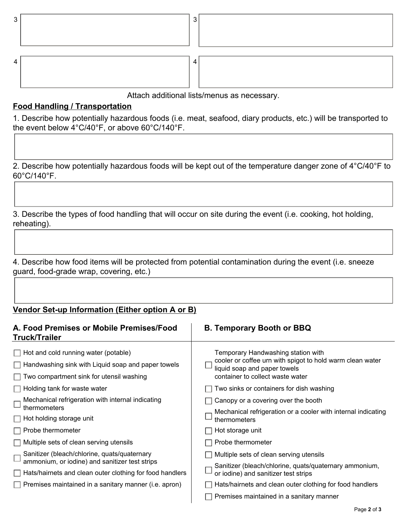| ∽ |  |  |
|---|--|--|
|   |  |  |

Attach additional lists/menus as necessary.

### **Food Handling / Transportation**

1. Describe how potentially hazardous foods (i.e. meat, seafood, diary products, etc.) will be transported to the event below 4°C/40°F, or above 60°C/140°F.

2. Describe how potentially hazardous foods will be kept out of the temperature danger zone of 4°C/40°F to 60°C/140°F.

3. Describe the types of food handling that will occur on site during the event (i.e. cooking, hot holding, reheating).

4. Describe how food items will be protected from potential contamination during the event (i.e. sneeze guard, food-grade wrap, covering, etc.)

## **Vendor Set-up Information (Either option A or B)**

| A. Food Premises or Mobile Premises/Food<br>Truck/Trailer                                                                              | <b>B. Temporary Booth or BBQ</b>                                                                                                                                    |
|----------------------------------------------------------------------------------------------------------------------------------------|---------------------------------------------------------------------------------------------------------------------------------------------------------------------|
| Hot and cold running water (potable)<br>Handwashing sink with Liquid soap and paper towels<br>Two compartment sink for utensil washing | Temporary Handwashing station with<br>cooler or coffee urn with spigot to hold warm clean water<br>liquid soap and paper towels<br>container to collect waste water |
| Holding tank for waste water                                                                                                           | Two sinks or containers for dish washing                                                                                                                            |
| Mechanical refrigeration with internal indicating<br>thermometers                                                                      | Canopy or a covering over the booth                                                                                                                                 |
| Hot holding storage unit                                                                                                               | Mechanical refrigeration or a cooler with internal indicating<br>thermometers                                                                                       |
| Probe thermometer                                                                                                                      | Hot storage unit                                                                                                                                                    |
| Multiple sets of clean serving utensils                                                                                                | Probe thermometer                                                                                                                                                   |
| Sanitizer (bleach/chlorine, quats/quaternary                                                                                           | Multiple sets of clean serving utensils                                                                                                                             |
| ammonium, or iodine) and sanitizer test strips<br>Hats/hairnets and clean outer clothing for food handlers                             | Sanitizer (bleach/chlorine, quats/quaternary ammonium,<br>or iodine) and sanitizer test strips                                                                      |
| Premises maintained in a sanitary manner (i.e. apron)                                                                                  | Hats/hairnets and clean outer clothing for food handlers                                                                                                            |
|                                                                                                                                        | Premises maintained in a sanitary manner                                                                                                                            |